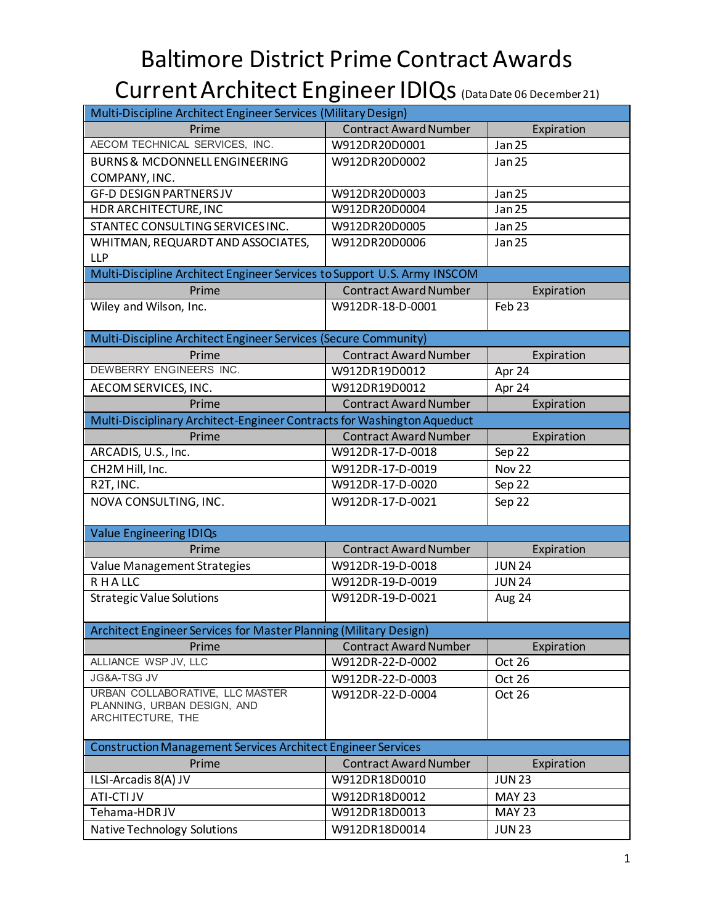## Baltimore District Prime Contract Awards Current Architect Engineer IDIQs (Data Date 06 December 21)

| Multi-Discipline Architect Engineer Services (Military Design)           |                              |                   |  |  |
|--------------------------------------------------------------------------|------------------------------|-------------------|--|--|
| Prime                                                                    | <b>Contract Award Number</b> | Expiration        |  |  |
| AECOM TECHNICAL SERVICES, INC.                                           | W912DR20D0001                | Jan 25            |  |  |
| <b>BURNS &amp; MCDONNELL ENGINEERING</b>                                 | W912DR20D0002                | Jan 25            |  |  |
| COMPANY, INC.                                                            |                              |                   |  |  |
| <b>GF-D DESIGN PARTNERSJV</b>                                            | W912DR20D0003                | Jan 25            |  |  |
| HDR ARCHITECTURE, INC                                                    | W912DR20D0004                | Jan 25            |  |  |
| STANTEC CONSULTING SERVICES INC.                                         | W912DR20D0005                | Jan 25            |  |  |
| WHITMAN, REQUARDT AND ASSOCIATES,                                        | W912DR20D0006                | Jan 25            |  |  |
| <b>LLP</b>                                                               |                              |                   |  |  |
| Multi-Discipline Architect Engineer Services to Support U.S. Army INSCOM |                              |                   |  |  |
| Prime                                                                    | <b>Contract Award Number</b> | Expiration        |  |  |
| Wiley and Wilson, Inc.                                                   | W912DR-18-D-0001             | Feb <sub>23</sub> |  |  |
|                                                                          |                              |                   |  |  |
| Multi-Discipline Architect Engineer Services (Secure Community)          |                              |                   |  |  |
| Prime                                                                    | <b>Contract Award Number</b> | Expiration        |  |  |
| DEWBERRY ENGINEERS INC.                                                  | W912DR19D0012                | Apr 24            |  |  |
| AECOM SERVICES, INC.                                                     | W912DR19D0012                | Apr 24            |  |  |
| Prime                                                                    | <b>Contract Award Number</b> | Expiration        |  |  |
| Multi-Disciplinary Architect-Engineer Contracts for Washington Aqueduct  |                              |                   |  |  |
| Prime                                                                    | <b>Contract Award Number</b> | Expiration        |  |  |
| ARCADIS, U.S., Inc.                                                      | W912DR-17-D-0018             | Sep 22            |  |  |
| CH2M Hill, Inc.                                                          | W912DR-17-D-0019             | <b>Nov 22</b>     |  |  |
| R2T, INC.                                                                | W912DR-17-D-0020             | Sep 22            |  |  |
| NOVA CONSULTING, INC.                                                    | W912DR-17-D-0021             | Sep 22            |  |  |
|                                                                          |                              |                   |  |  |
| <b>Value Engineering IDIQs</b>                                           |                              |                   |  |  |
| Prime                                                                    | <b>Contract Award Number</b> | Expiration        |  |  |
| Value Management Strategies                                              | W912DR-19-D-0018             | <b>JUN 24</b>     |  |  |
| <b>RHALLC</b>                                                            | W912DR-19-D-0019             | <b>JUN 24</b>     |  |  |
| <b>Strategic Value Solutions</b>                                         | W912DR-19-D-0021             | Aug 24            |  |  |
|                                                                          |                              |                   |  |  |
| Architect Engineer Services for Master Planning (Military Design)        |                              |                   |  |  |
| Prime                                                                    | <b>Contract Award Number</b> | Expiration        |  |  |
| ALLIANCE WSP JV, LLC                                                     | W912DR-22-D-0002             | Oct 26            |  |  |
| JG&A-TSG JV                                                              | W912DR-22-D-0003             | Oct 26            |  |  |
| URBAN COLLABORATIVE, LLC MASTER                                          | W912DR-22-D-0004             | Oct 26            |  |  |
| PLANNING, URBAN DESIGN, AND<br>ARCHITECTURE, THE                         |                              |                   |  |  |
|                                                                          |                              |                   |  |  |
| <b>Construction Management Services Architect Engineer Services</b>      |                              |                   |  |  |
| Prime                                                                    | <b>Contract Award Number</b> | Expiration        |  |  |
| ILSI-Arcadis 8(A) JV                                                     | W912DR18D0010                | <b>JUN23</b>      |  |  |
| ATI-CTI JV                                                               | W912DR18D0012                | <b>MAY 23</b>     |  |  |
| Tehama-HDRJV                                                             | W912DR18D0013                | <b>MAY 23</b>     |  |  |
| <b>Native Technology Solutions</b>                                       | W912DR18D0014                | <b>JUN23</b>      |  |  |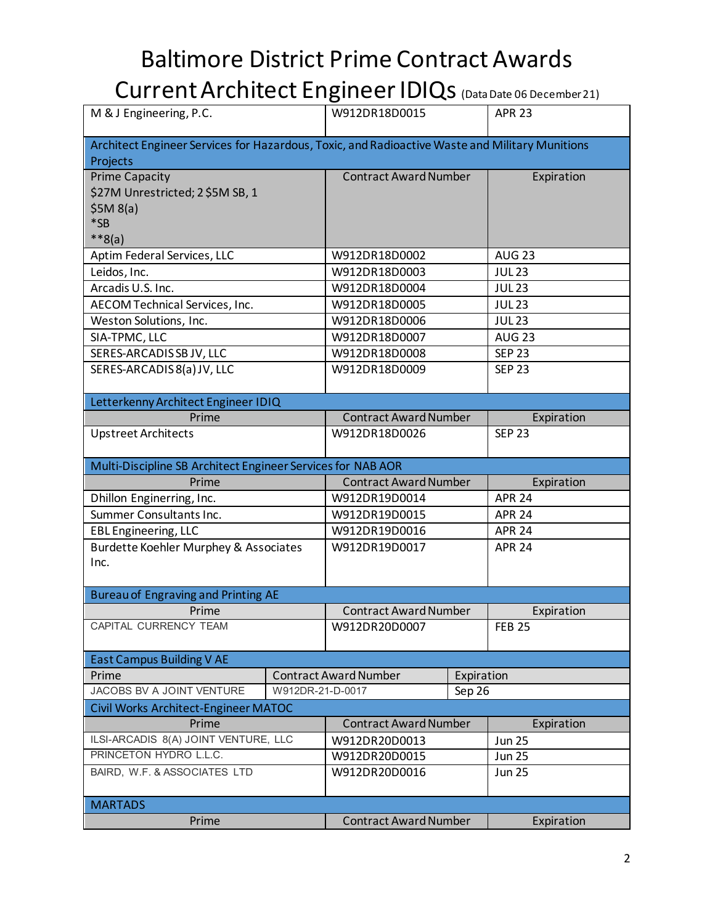# Baltimore District Prime Contract Awards

Current Architect Engineer IDIQs (Data Date 06 December 21)

| M & J Engineering, P.C.                                                                        |                  | W912DR18D0015                |            | <b>APR 23</b>        |
|------------------------------------------------------------------------------------------------|------------------|------------------------------|------------|----------------------|
| Architect Engineer Services for Hazardous, Toxic, and Radioactive Waste and Military Munitions |                  |                              |            |                      |
| Projects                                                                                       |                  |                              |            |                      |
| <b>Prime Capacity</b>                                                                          |                  | <b>Contract Award Number</b> |            | Expiration           |
| \$27M Unrestricted; 2 \$5M SB, 1                                                               |                  |                              |            |                      |
| $$5M_8(a)$                                                                                     |                  |                              |            |                      |
| *SB                                                                                            |                  |                              |            |                      |
| $**8(a)$                                                                                       |                  |                              |            |                      |
| Aptim Federal Services, LLC                                                                    |                  | W912DR18D0002                |            | <b>AUG 23</b>        |
| Leidos, Inc.                                                                                   |                  | W912DR18D0003                |            | <b>JUL23</b>         |
| Arcadis U.S. Inc.                                                                              |                  | W912DR18D0004                |            | $\overline{J}$ UL 23 |
| AECOM Technical Services, Inc.                                                                 |                  | W912DR18D0005                |            | <b>JUL23</b>         |
| Weston Solutions, Inc.                                                                         |                  | W912DR18D0006                |            | <b>JUL23</b>         |
| SIA-TPMC, LLC                                                                                  |                  | W912DR18D0007                |            | <b>AUG 23</b>        |
| SERES-ARCADIS SB JV, LLC                                                                       |                  | W912DR18D0008                |            | <b>SEP 23</b>        |
| SERES-ARCADIS 8(a) JV, LLC                                                                     |                  | W912DR18D0009                |            | <b>SEP 23</b>        |
|                                                                                                |                  |                              |            |                      |
| Letterkenny Architect Engineer IDIQ                                                            |                  |                              |            |                      |
| Prime                                                                                          |                  | <b>Contract Award Number</b> |            | Expiration           |
| <b>Upstreet Architects</b>                                                                     |                  | W912DR18D0026                |            | <b>SEP 23</b>        |
| Multi-Discipline SB Architect Engineer Services for NAB AOR                                    |                  |                              |            |                      |
| Prime                                                                                          |                  | <b>Contract Award Number</b> |            | Expiration           |
| Dhillon Enginerring, Inc.                                                                      |                  | W912DR19D0014                |            | <b>APR 24</b>        |
| Summer Consultants Inc.                                                                        |                  | W912DR19D0015                |            | <b>APR 24</b>        |
| <b>EBL Engineering, LLC</b>                                                                    |                  | W912DR19D0016                |            | <b>APR 24</b>        |
| Burdette Koehler Murphey & Associates                                                          |                  | W912DR19D0017                |            | <b>APR 24</b>        |
| Inc.                                                                                           |                  |                              |            |                      |
|                                                                                                |                  |                              |            |                      |
| <b>Bureau of Engraving and Printing AE</b>                                                     |                  |                              |            |                      |
| Prime                                                                                          |                  | <b>Contract Award Number</b> |            | Expiration           |
| CAPITAL CURRENCY TEAM                                                                          |                  | W912DR20D0007                |            | <b>FEB 25</b>        |
|                                                                                                |                  |                              |            |                      |
| <b>East Campus Building V AE</b>                                                               |                  |                              |            |                      |
| Prime                                                                                          |                  | <b>Contract Award Number</b> | Expiration |                      |
| JACOBS BV A JOINT VENTURE                                                                      | W912DR-21-D-0017 |                              | Sep 26     |                      |
| Civil Works Architect-Engineer MATOC                                                           |                  |                              |            |                      |
| Prime                                                                                          |                  | <b>Contract Award Number</b> |            | Expiration           |
| ILSI-ARCADIS 8(A) JOINT VENTURE, LLC                                                           |                  | W912DR20D0013                |            | <b>Jun 25</b>        |
| PRINCETON HYDRO L.L.C.                                                                         |                  | W912DR20D0015                |            | <b>Jun 25</b>        |
| BAIRD, W.F. & ASSOCIATES LTD                                                                   |                  | W912DR20D0016                |            | <b>Jun 25</b>        |
|                                                                                                |                  |                              |            |                      |
| <b>MARTADS</b>                                                                                 |                  |                              |            |                      |
| Prime                                                                                          |                  | <b>Contract Award Number</b> |            | Expiration           |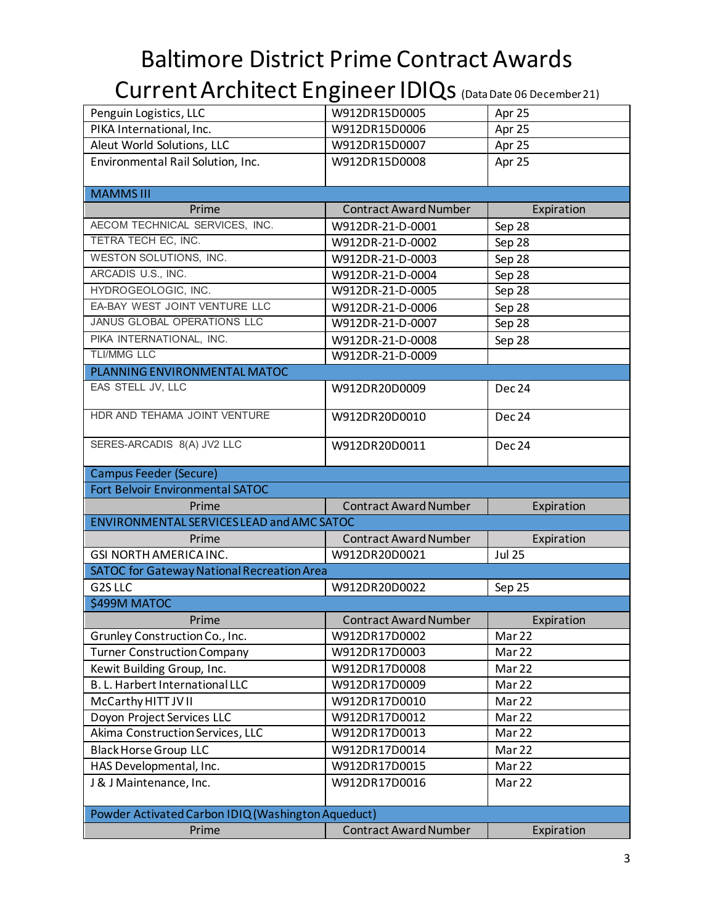#### Baltimore District Prime Contract Awards Current Architect Engineer IDIQs (Data Date 06 December 21)

| Penguin Logistics, LLC                             | W912DR15D0005                | Apr 25               |  |
|----------------------------------------------------|------------------------------|----------------------|--|
| PIKA International, Inc.                           | W912DR15D0006                | Apr 25               |  |
| Aleut World Solutions, LLC                         | W912DR15D0007                | Apr 25               |  |
| Environmental Rail Solution, Inc.                  | W912DR15D0008                | Apr 25               |  |
|                                                    |                              |                      |  |
| <b>MAMMS III</b>                                   |                              |                      |  |
| Prime                                              | <b>Contract Award Number</b> | Expiration           |  |
| AECOM TECHNICAL SERVICES, INC.                     | W912DR-21-D-0001             | Sep 28               |  |
| TETRA TECH EC, INC.                                | W912DR-21-D-0002             | Sep 28               |  |
| WESTON SOLUTIONS, INC.                             | W912DR-21-D-0003             | Sep 28               |  |
| ARCADIS U.S., INC.                                 | W912DR-21-D-0004             | Sep 28               |  |
| HYDROGEOLOGIC, INC.                                | W912DR-21-D-0005             | Sep 28               |  |
| EA-BAY WEST JOINT VENTURE LLC                      | W912DR-21-D-0006             | Sep 28               |  |
| JANUS GLOBAL OPERATIONS LLC                        | W912DR-21-D-0007             | Sep 28               |  |
| PIKA INTERNATIONAL, INC.                           | W912DR-21-D-0008             | Sep 28               |  |
| <b>TLI/MMG LLC</b>                                 | W912DR-21-D-0009             |                      |  |
| PLANNING ENVIRONMENTAL MATOC                       |                              |                      |  |
| EAS STELL JV, LLC                                  | W912DR20D0009                | Dec 24               |  |
| HDR AND TEHAMA JOINT VENTURE                       | W912DR20D0010                | Dec 24               |  |
| SERES-ARCADIS 8(A) JV2 LLC                         | W912DR20D0011                | Dec 24               |  |
| <b>Campus Feeder (Secure)</b>                      |                              |                      |  |
| Fort Belvoir Environmental SATOC                   |                              |                      |  |
| Prime                                              | <b>Contract Award Number</b> | Expiration           |  |
| ENVIRONMENTAL SERVICES LEAD and AMC SATOC          |                              |                      |  |
| Prime                                              | <b>Contract Award Number</b> | Expiration           |  |
| <b>GSI NORTH AMERICA INC.</b>                      | W912DR20D0021                | <b>Jul 25</b>        |  |
| <b>SATOC for Gateway National Recreation Area</b>  |                              |                      |  |
| G2S LLC                                            | W912DR20D0022                | Sep 25               |  |
| \$499M MATOC                                       |                              |                      |  |
| Prime                                              | <b>Contract Award Number</b> | Expiration           |  |
| Grunley Construction Co., Inc.                     | W912DR17D0002                | Mar 22               |  |
| <b>Turner Construction Company</b>                 | W912DR17D0003                | $\overline{M}$ ar 22 |  |
| Kewit Building Group, Inc.                         | W912DR17D0008                | Mar 22               |  |
| B. L. Harbert International LLC                    | W912DR17D0009                | Mar 22               |  |
| McCarthy HITT JV II                                | W912DR17D0010                | Mar 22               |  |
| Doyon Project Services LLC                         | W912DR17D0012                | Mar 22               |  |
| Akima Construction Services, LLC                   | W912DR17D0013                | Mar 22               |  |
| <b>Black Horse Group LLC</b>                       | W912DR17D0014                | Mar 22               |  |
| HAS Developmental, Inc.                            | W912DR17D0015                | Mar 22               |  |
| J & J Maintenance, Inc.                            | W912DR17D0016                | Mar 22               |  |
|                                                    |                              |                      |  |
| Powder Activated Carbon IDIQ (Washington Aqueduct) |                              |                      |  |
| Prime                                              | <b>Contract Award Number</b> | Expiration           |  |
|                                                    |                              |                      |  |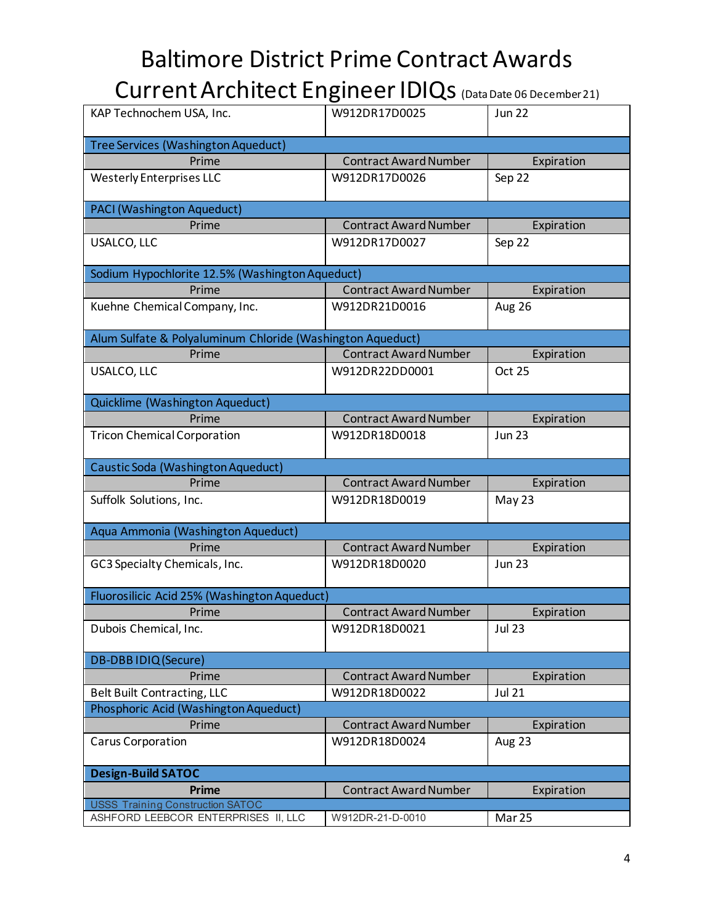# Baltimore District Prime Contract Awards

Current Architect Engineer IDIQs (Data Date 06 December 21)

| KAP Technochem USA, Inc.                                   | W912DR17D0025                | <b>Jun 22</b>     |
|------------------------------------------------------------|------------------------------|-------------------|
| Tree Services (Washington Aqueduct)                        |                              |                   |
| Prime                                                      | <b>Contract Award Number</b> | Expiration        |
| <b>Westerly Enterprises LLC</b>                            | W912DR17D0026                | Sep 22            |
|                                                            |                              |                   |
| PACI (Washington Aqueduct)                                 |                              |                   |
| Prime                                                      | <b>Contract Award Number</b> | Expiration        |
| USALCO, LLC                                                | W912DR17D0027                | Sep 22            |
| Sodium Hypochlorite 12.5% (Washington Aqueduct)            |                              |                   |
| Prime                                                      | <b>Contract Award Number</b> | Expiration        |
| Kuehne Chemical Company, Inc.                              | W912DR21D0016                | Aug 26            |
| Alum Sulfate & Polyaluminum Chloride (Washington Aqueduct) |                              |                   |
| Prime                                                      | <b>Contract Award Number</b> | Expiration        |
| USALCO, LLC                                                | W912DR22DD0001               | Oct 25            |
| Quicklime (Washington Aqueduct)                            |                              |                   |
| Prime                                                      | <b>Contract Award Number</b> | Expiration        |
| <b>Tricon Chemical Corporation</b>                         | W912DR18D0018                | <b>Jun 23</b>     |
| Caustic Soda (Washington Aqueduct)                         |                              |                   |
| Prime                                                      | <b>Contract Award Number</b> | Expiration        |
| Suffolk Solutions, Inc.                                    | W912DR18D0019                | May 23            |
| Aqua Ammonia (Washington Aqueduct)                         |                              |                   |
| Prime                                                      | <b>Contract Award Number</b> | Expiration        |
| GC3 Specialty Chemicals, Inc.                              | W912DR18D0020                | <b>Jun 23</b>     |
|                                                            |                              |                   |
| Fluorosilicic Acid 25% (Washington Aqueduct)               |                              |                   |
| Prime                                                      | <b>Contract Award Number</b> | Expiration        |
| Dubois Chemical, Inc.                                      | W912DR18D0021                | <b>Jul 23</b>     |
| DB-DBBIDIQ (Secure)                                        |                              |                   |
| Prime                                                      | <b>Contract Award Number</b> | Expiration        |
| Belt Built Contracting, LLC                                | W912DR18D0022                | <b>Jul 21</b>     |
| Phosphoric Acid (Washington Aqueduct)                      |                              |                   |
| Prime                                                      | <b>Contract Award Number</b> | Expiration        |
| Carus Corporation                                          | W912DR18D0024                | Aug 23            |
| <b>Design-Build SATOC</b>                                  |                              |                   |
| Prime                                                      | <b>Contract Award Number</b> | Expiration        |
| <b>USSS Training Construction SATOC</b>                    |                              |                   |
| ASHFORD LEEBCOR ENTERPRISES II, LLC                        | W912DR-21-D-0010             | Mar <sub>25</sub> |